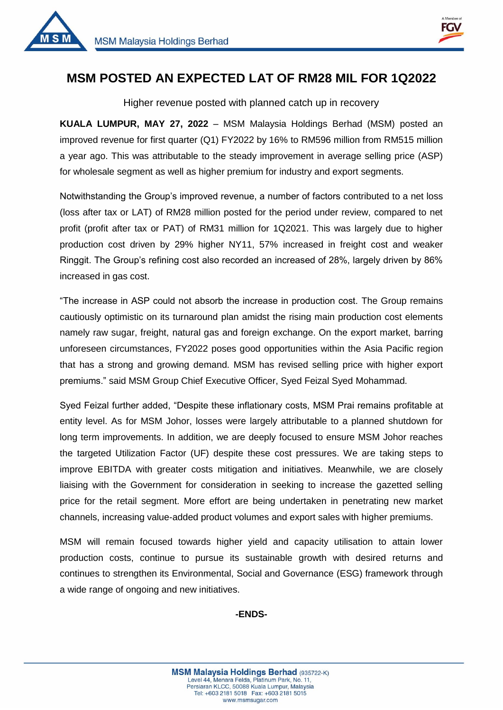



1

## **MSM POSTED AN EXPECTED LAT OF RM28 MIL FOR 1Q2022**

Higher revenue posted with planned catch up in recovery

**KUALA LUMPUR, MAY 27, 2022** – MSM Malaysia Holdings Berhad (MSM) posted an improved revenue for first quarter (Q1) FY2022 by 16% to RM596 million from RM515 million a year ago. This was attributable to the steady improvement in average selling price (ASP) for wholesale segment as well as higher premium for industry and export segments.

Notwithstanding the Group's improved revenue, a number of factors contributed to a net loss (loss after tax or LAT) of RM28 million posted for the period under review, compared to net profit (profit after tax or PAT) of RM31 million for 1Q2021. This was largely due to higher production cost driven by 29% higher NY11, 57% increased in freight cost and weaker Ringgit. The Group's refining cost also recorded an increased of 28%, largely driven by 86% increased in gas cost.

"The increase in ASP could not absorb the increase in production cost. The Group remains cautiously optimistic on its turnaround plan amidst the rising main production cost elements namely raw sugar, freight, natural gas and foreign exchange. On the export market, barring unforeseen circumstances, FY2022 poses good opportunities within the Asia Pacific region that has a strong and growing demand. MSM has revised selling price with higher export premiums." said MSM Group Chief Executive Officer, Syed Feizal Syed Mohammad.

Syed Feizal further added, "Despite these inflationary costs, MSM Prai remains profitable at entity level. As for MSM Johor, losses were largely attributable to a planned shutdown for long term improvements. In addition, we are deeply focused to ensure MSM Johor reaches the targeted Utilization Factor (UF) despite these cost pressures. We are taking steps to improve EBITDA with greater costs mitigation and initiatives. Meanwhile, we are closely liaising with the Government for consideration in seeking to increase the gazetted selling price for the retail segment. More effort are being undertaken in penetrating new market channels, increasing value-added product volumes and export sales with higher premiums.

MSM will remain focused towards higher yield and capacity utilisation to attain lower production costs, continue to pursue its sustainable growth with desired returns and continues to strengthen its Environmental, Social and Governance (ESG) framework through a wide range of ongoing and new initiatives.

## **-ENDS-**